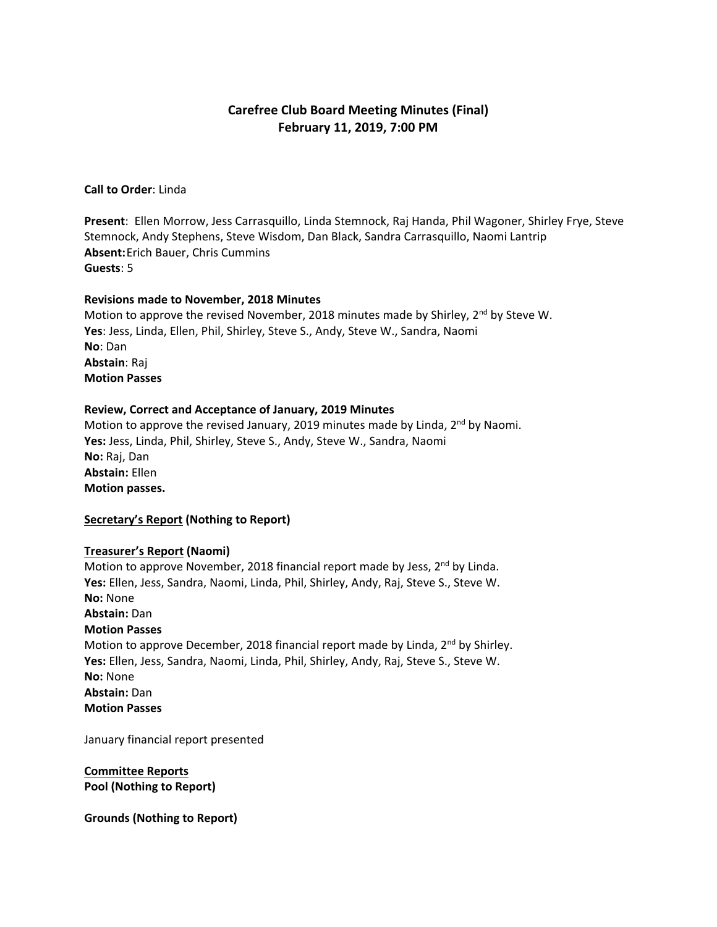# **Carefree Club Board Meeting Minutes (Final) February 11, 2019, 7:00 PM**

**Call to Order**: Linda

**Present**: Ellen Morrow, Jess Carrasquillo, Linda Stemnock, Raj Handa, Phil Wagoner, Shirley Frye, Steve Stemnock, Andy Stephens, Steve Wisdom, Dan Black, Sandra Carrasquillo, Naomi Lantrip **Absent:**Erich Bauer, Chris Cummins **Guests**: 5

#### **Revisions made to November, 2018 Minutes**

Motion to approve the revised November, 2018 minutes made by Shirley,  $2^{nd}$  by Steve W. **Yes**: Jess, Linda, Ellen, Phil, Shirley, Steve S., Andy, Steve W., Sandra, Naomi **No**: Dan **Abstain**: Raj **Motion Passes**

#### **Review, Correct and Acceptance of January, 2019 Minutes**

Motion to approve the revised January, 2019 minutes made by Linda, 2<sup>nd</sup> by Naomi. **Yes:** Jess, Linda, Phil, Shirley, Steve S., Andy, Steve W., Sandra, Naomi **No:** Raj, Dan **Abstain:** Ellen **Motion passes.**

#### **Secretary's Report (Nothing to Report)**

#### **Treasurer's Report (Naomi)**

Motion to approve November, 2018 financial report made by Jess, 2<sup>nd</sup> by Linda. **Yes:** Ellen, Jess, Sandra, Naomi, Linda, Phil, Shirley, Andy, Raj, Steve S., Steve W. **No:** None **Abstain:** Dan **Motion Passes** Motion to approve December, 2018 financial report made by Linda, 2<sup>nd</sup> by Shirley. **Yes:** Ellen, Jess, Sandra, Naomi, Linda, Phil, Shirley, Andy, Raj, Steve S., Steve W. **No:** None **Abstain:** Dan **Motion Passes**

January financial report presented

**Committee Reports Pool (Nothing to Report)**

**Grounds (Nothing to Report)**